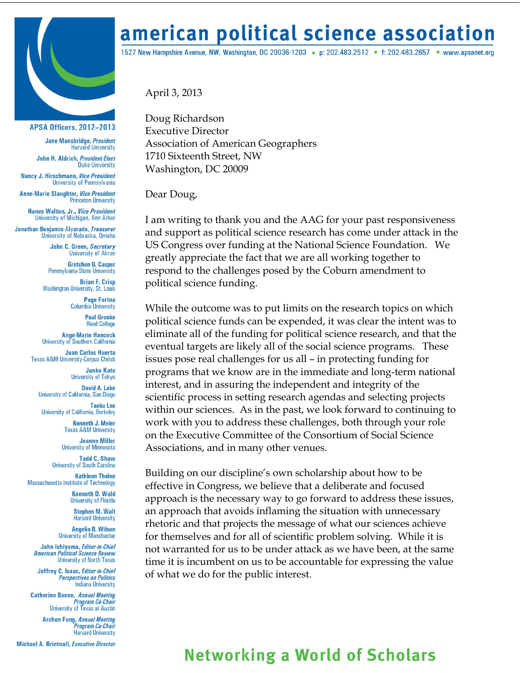

## **APSA Officers, 2012-2013**

Jane Mansbridge, President **Harvard University** 

John H. Aldrich, President-Elect **Duke University** 

Nancy J. Hirschmann, Vice President University of Pennsylvania

**Anne-Marie Slaughter, Vice President Princeton University** 

**Hanes Walton, Jr., Vice President** University of Michigan, Ann Arbor

Jonathan Benjamin-Alvarado, Treasurer University of Nebraska, Omaha

> John C. Green, Secretary **University of Akron**

**Gretchen G. Casper** Pennsylvania State University

**Brian F. Crisp Washington University, St. Louis** 

> **Page Fortna Columbia University**

> > **Paul Gronke Reed College**

**Ange-Marie Hancock** University of Southern California

**Juan Carlos Huerta Texas A&M University-Corpus Christi** 

> **Junko Kato University of Tokyo**

**David A. Lake** University of California, San Diego **Taeku Lee** 

**University of California, Berkeley** 

**Kenneth J. Meier Texas A&M University** 

**Joanne Miller University of Minnesota** 

**Todd C. Shaw University of South Carolina** 

**Kathleen Thelen Massachusetts Institute of Technology** 

> **Kenneth D. Wald University of Florida**

> > **Stephen M. Walt Harvard University**

**Angelia R. Wilson University of Manchester** 

John Ishiyama, Editor-in-Chief **American Political Science Review University of North Texas** 

Jeffrey C. Isaac, Editor-in-Chief **Perspectives on Politics Indiana University** 

**Catherine Boone, Annual Meeting** Program Co-Chair University of Texas at Austin

> **Archon Fung, Annual Meeting** .<br>Program Co-Chair **Harvard University**

**Michael A. Brintnall, Executive Director** 

## american political science association

1527 New Hampshire Avenue, NW, Washington, DC 20036-1203 • p: 202.483.2512 • f: 202.483.2657 • www.apsanet.org

April 3, 2013

Doug Richardson **Executive Director Association of American Geographers** 1710 Sixteenth Street, NW Washington, DC 20009

Dear Doug,

I am writing to thank you and the AAG for your past responsiveness and support as political science research has come under attack in the US Congress over funding at the National Science Foundation. We greatly appreciate the fact that we are all working together to respond to the challenges posed by the Coburn amendment to political science funding.

While the outcome was to put limits on the research topics on which political science funds can be expended, it was clear the intent was to eliminate all of the funding for political science research, and that the eventual targets are likely all of the social science programs. These issues pose real challenges for us all - in protecting funding for programs that we know are in the immediate and long-term national interest, and in assuring the independent and integrity of the scientific process in setting research agendas and selecting projects within our sciences. As in the past, we look forward to continuing to work with you to address these challenges, both through your role on the Executive Committee of the Consortium of Social Science Associations, and in many other venues.

Building on our discipline's own scholarship about how to be effective in Congress, we believe that a deliberate and focused approach is the necessary way to go forward to address these issues, an approach that avoids inflaming the situation with unnecessary rhetoric and that projects the message of what our sciences achieve for themselves and for all of scientific problem solving. While it is not warranted for us to be under attack as we have been, at the same time it is incumbent on us to be accountable for expressing the value of what we do for the public interest.

## **Networking a World of Scholars**